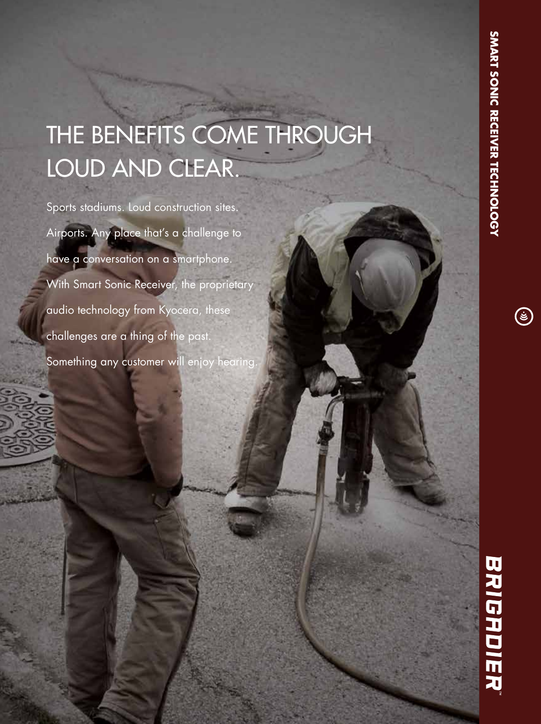$\Large{\textcircled{\small{z}}}$ 

# THE BENEFITS COME THROUGH LOUD AND CLEAR.

Sports stadiums. Loud construction sites. Airports. Any place that's a challenge to have a conversation on a smartphone. With Smart Sonic Receiver, the proprietary audio technology from Kyocera, these challenges are a thing of the past. Something any customer will enjoy hearing

# BRIGADIER